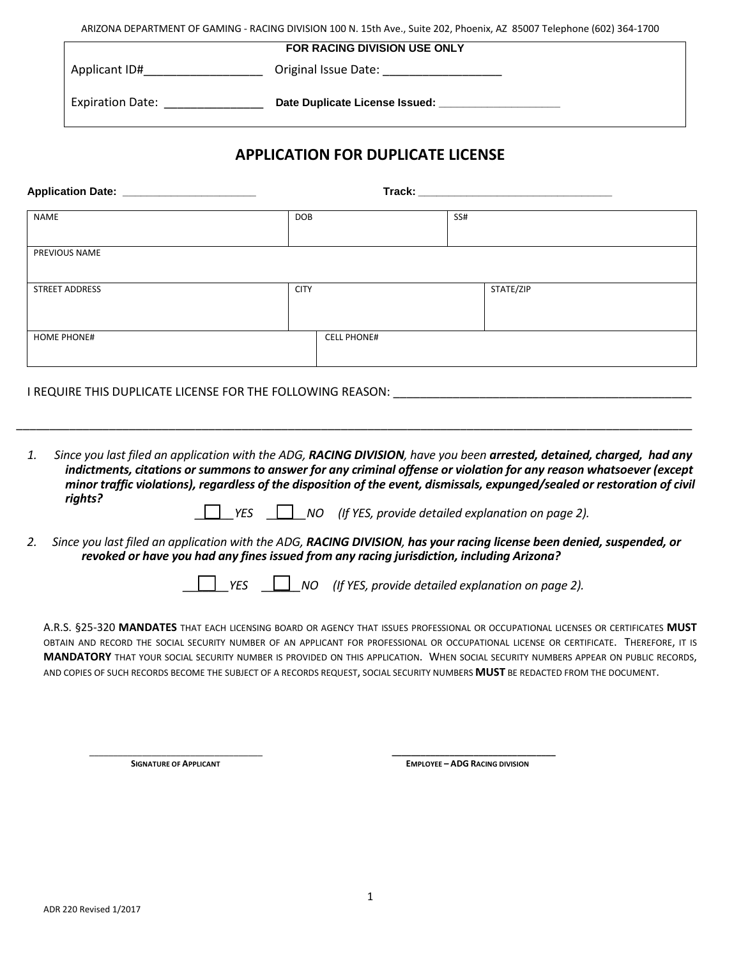ARIZONA DEPARTMENT OF GAMING - RACING DIVISION 100 N. 15th Ave., Suite 202, Phoenix, AZ 85007 Telephone (602) 364-1700

| <b>FOR RACING DIVISION USE ONLY</b> |                                |  |  |  |  |
|-------------------------------------|--------------------------------|--|--|--|--|
| Applicant ID#                       | Original Issue Date:           |  |  |  |  |
| <b>Expiration Date:</b>             | Date Duplicate License Issued: |  |  |  |  |

## **APPLICATION FOR DUPLICATE LICENSE**

| Application Date: _________________________ |             |                    |     |           |
|---------------------------------------------|-------------|--------------------|-----|-----------|
| <b>NAME</b>                                 | <b>DOB</b>  |                    | SS# |           |
| PREVIOUS NAME                               |             |                    |     |           |
| STREET ADDRESS                              | <b>CITY</b> |                    |     | STATE/ZIP |
| <b>HOME PHONE#</b>                          |             | <b>CELL PHONE#</b> |     |           |

I REQUIRE THIS DUPLICATE LICENSE FOR THE FOLLOWING REASON: \_\_\_\_\_\_\_\_\_\_\_\_\_\_\_\_\_\_\_\_\_\_\_\_\_\_\_\_\_\_\_\_\_\_\_\_\_\_\_\_\_\_\_\_\_

*1. Since you last filed an application with the ADG, RACING DIVISION, have you been arrested, detained, charged, had any indictments, citations or summons to answer for any criminal offense or violation for any reason whatsoever (except minor traffic violations), regardless of the disposition of the event, dismissals, expunged/sealed or restoration of civil rights?* 

\_\_\_\_\_\_\_\_\_\_\_\_\_\_\_\_\_\_\_\_\_\_\_\_\_\_\_\_\_\_\_\_\_\_\_\_\_\_\_\_\_\_\_\_\_\_\_\_\_\_\_\_\_\_\_\_\_\_\_\_\_\_\_\_\_\_\_\_\_\_\_\_\_\_\_\_\_\_\_\_\_\_\_\_\_\_\_\_\_\_\_\_\_\_\_\_\_\_\_\_\_\_

- *\_\_\_\_\_\_YES \_\_\_\_\_\_NO (If YES, provide detailed explanation on page 2).*
- *2. Since you last filed an application with the ADG, RACING DIVISION, has your racing license been denied, suspended, or revoked or have you had any fines issued from any racing jurisdiction, including Arizona?*

 *\_\_\_\_\_\_\_YES \_\_\_\_\_\_NO (If YES, provide detailed explanation on page 2).*

A.R.S. §25-320 **MANDATES** THAT EACH LICENSING BOARD OR AGENCY THAT ISSUES PROFESSIONAL OR OCCUPATIONAL LICENSES OR CERTIFICATES **MUST** OBTAIN AND RECORD THE SOCIAL SECURITY NUMBER OF AN APPLICANT FOR PROFESSIONAL OR OCCUPATIONAL LICENSE OR CERTIFICATE. THEREFORE, IT IS **MANDATORY** THAT YOUR SOCIAL SECURITY NUMBER IS PROVIDED ON THIS APPLICATION. WHEN SOCIAL SECURITY NUMBERS APPEAR ON PUBLIC RECORDS, AND COPIES OF SUCH RECORDS BECOME THE SUBJECT OF A RECORDS REQUEST, SOCIAL SECURITY NUMBERS **MUST** BE REDACTED FROM THE DOCUMENT.

\_\_\_\_\_\_\_\_\_\_\_\_\_\_\_\_\_\_\_\_\_\_\_\_\_\_\_\_\_\_\_\_\_\_\_\_ **\_\_\_\_\_\_\_\_\_\_\_\_\_\_\_\_\_\_\_\_\_\_\_\_\_\_\_\_\_\_\_\_\_\_ SIGNATURE OF APPLICANT EMPLOYEE – ADG RACING DIVISION**